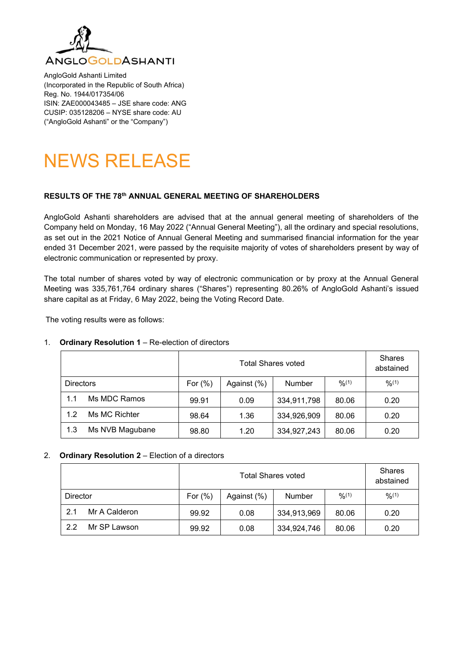

AngloGold Ashanti Limited (Incorporated in the Republic of South Africa) Reg. No. 1944/017354/06 ISIN: ZAE000043485 – JSE share code: ANG CUSIP: 035128206 – NYSE share code: AU ("AngloGold Ashanti" or the "Company")



## **RESULTS OF THE 78th ANNUAL GENERAL MEETING OF SHAREHOLDERS**

AngloGold Ashanti shareholders are advised that at the annual general meeting of shareholders of the Company held on Monday, 16 May 2022 ("Annual General Meeting"), all the ordinary and special resolutions, as set out in the 2021 Notice of Annual General Meeting and summarised financial information for the year ended 31 December 2021, were passed by the requisite majority of votes of shareholders present by way of electronic communication or represented by proxy.

The total number of shares voted by way of electronic communication or by proxy at the Annual General Meeting was 335,761,764 ordinary shares ("Shares") representing 80.26% of AngloGold Ashanti's issued share capital as at Friday, 6 May 2022, being the Voting Record Date.

The voting results were as follows:

# Total Shares voted **Shares** abstained Directors  $\vert$  For (%)  $\vert$  Against (%)  $\vert$  Number  $\vert$  %<sup>(1)</sup>  $\vert$  %<sup>(1)</sup> 1.1 Ms MDC Ramos | 99.91 | 0.09 | 334,911,798 | 80.06 | 0.20 1.2 Ms MC Richter | 98.64 | 1.36 | 334,926,909 | 80.06 | 0.20 1.3 Ms NVB Magubane | 98.80 | 1.20 | 334,927,243 | 80.06 | 0.20

# 1. **Ordinary Resolution 1** – Re-election of directors

## 2. **Ordinary Resolution 2** – Election of a directors

|                      |            | <b>Shares</b><br>abstained |               |        |        |
|----------------------|------------|----------------------------|---------------|--------|--------|
| Director             | For $(\%)$ | Against (%)                | <b>Number</b> | 9/6(1) | 9/6(1) |
| 2.1<br>Mr A Calderon | 99.92      | 0.08                       | 334,913,969   | 80.06  | 0.20   |
| 22<br>Mr SP Lawson   | 99.92      | 0.08                       | 334,924,746   | 80.06  | 0.20   |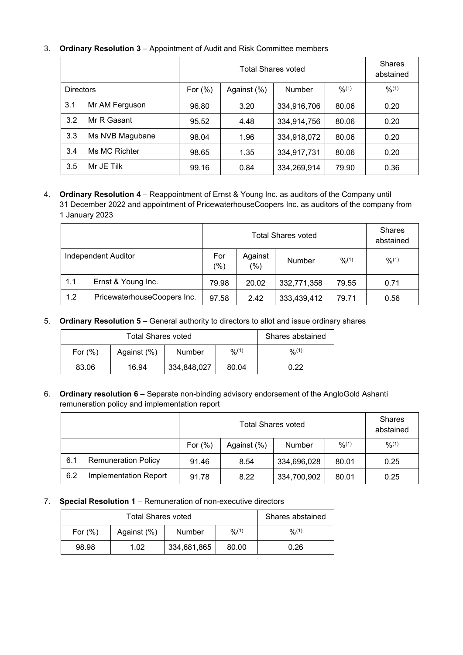# 3. **Ordinary Resolution 3** – Appointment of Audit and Risk Committee members

|                  |                 |             | <b>Shares</b><br>abstained |               |        |        |
|------------------|-----------------|-------------|----------------------------|---------------|--------|--------|
| <b>Directors</b> |                 | For $(\% )$ | Against (%)                | <b>Number</b> | 9/6(1) | 9/6(1) |
| 3.1              | Mr AM Ferguson  | 96.80       | 3.20                       | 334,916,706   | 80.06  | 0.20   |
| 3.2              | Mr R Gasant     | 95.52       | 4.48                       | 334,914,756   | 80.06  | 0.20   |
| 3.3              | Ms NVB Magubane | 98.04       | 1.96                       | 334,918,072   | 80.06  | 0.20   |
| 3.4              | Ms MC Richter   | 98.65       | 1.35                       | 334,917,731   | 80.06  | 0.20   |
| 3.5              | Mr JE Tilk      | 99.16       | 0.84                       | 334,269,914   | 79.90  | 0.36   |

# 4. **Ordinary Resolution 4** – Reappointment of Ernst & Young Inc. as auditors of the Company until 31 December 2022 and appointment of PricewaterhouseCoopers Inc. as auditors of the company from 1 January 2023

|                     |                             |               | <b>Shares</b><br>abstained |               |        |        |
|---------------------|-----------------------------|---------------|----------------------------|---------------|--------|--------|
| Independent Auditor |                             | For<br>$(\%)$ | Against<br>(%)             | <b>Number</b> | 9/6(1) | 9/6(1) |
| 1.1                 | Ernst & Young Inc.          | 79.98         | 20.02                      | 332,771,358   | 79.55  | 0.71   |
| 1.2                 | PricewaterhouseCoopers Inc. | 97.58         | 2.42                       | 333,439,412   | 79.71  | 0.56   |

5. **Ordinary Resolution 5** – General authority to directors to allot and issue ordinary shares

|            | Shares abstained |               |        |        |
|------------|------------------|---------------|--------|--------|
| For $(\%)$ | Against (%)      | <b>Number</b> | 0/0(1) | 9/6(1) |
| 83.06      | 16.94            | 334,848,027   | 80.04  | 0.22   |

6. **Ordinary resolution 6** – Separate non-binding advisory endorsement of the AngloGold Ashanti remuneration policy and implementation report

|     |                            |            | <b>Shares</b><br>abstained |               |        |        |
|-----|----------------------------|------------|----------------------------|---------------|--------|--------|
|     |                            | For $(\%)$ | Against (%)                | <b>Number</b> | 9/6(1) | 9/6(1) |
| 6.1 | <b>Remuneration Policy</b> | 91.46      | 8.54                       | 334,696,028   | 80.01  | 0.25   |
| 6.2 | Implementation Report      | 91.78      | 8.22                       | 334,700,902   | 80.01  | 0.25   |

7. **Special Resolution 1** – Remuneration of non-executive directors

|            | Shares abstained |             |        |        |
|------------|------------------|-------------|--------|--------|
| For $(\%)$ | Against (%)      | Number      | 0/0(1) | 9/6(1) |
| 98.98      | 1.02             | 334,681,865 | 80.00  | 0.26   |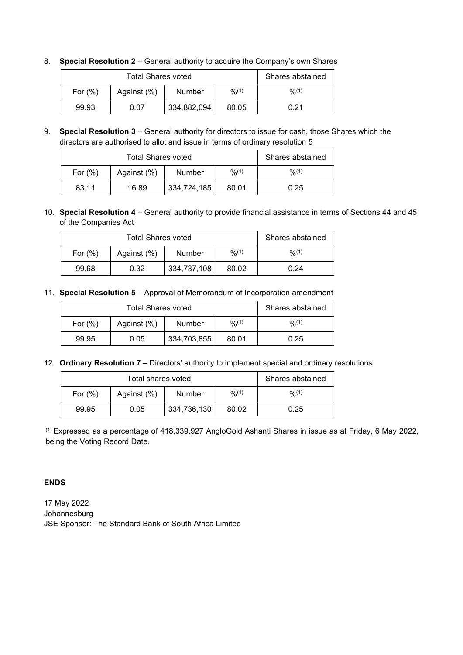|            | Shares abstained |             |        |        |
|------------|------------------|-------------|--------|--------|
| For $(\%)$ | Against (%)      | Number      | 9/6(1) | 0/0(1) |
| 99.93      | 0.07             | 334,882,094 | 80.05  | 0.21   |

- 8. **Special Resolution 2** General authority to acquire the Company's own Shares
- 9. **Special Resolution 3** General authority for directors to issue for cash, those Shares which the directors are authorised to allot and issue in terms of ordinary resolution 5

|            | Shares abstained |               |        |        |
|------------|------------------|---------------|--------|--------|
| For $(\%)$ | Against (%)      | <b>Number</b> | 0/2(1) | 9/6(1) |
| 83.11      | 16.89            | 334,724,185   | 80.01  | 0.25   |

10. **Special Resolution 4** – General authority to provide financial assistance in terms of Sections 44 and 45 of the Companies Act

|            | Shares abstained |             |        |        |
|------------|------------------|-------------|--------|--------|
| For $(\%)$ | Against (%)      | Number      | 0/0(1) | 9/6(1) |
| 99.68      | 0.32             | 334,737,108 | 80.02  | 0.24   |

11. **Special Resolution 5** – Approval of Memorandum of Incorporation amendment

|            | Shares abstained |             |        |        |
|------------|------------------|-------------|--------|--------|
| For $(\%)$ | Against (%)      | Number      | 0/2(1) | 9/6(1) |
| 99.95      | 0.05             | 334,703,855 | 80.01  | 0.25   |

12. **Ordinary Resolution 7** – Directors' authority to implement special and ordinary resolutions

|            | Shares abstained |             |        |        |
|------------|------------------|-------------|--------|--------|
| For $(\%)$ | Against (%)      | Number      | 9/6(1) | 9/6(1) |
| 99.95      | 0.05             | 334,736,130 | 80.02  | 0.25   |

(1) Expressed as a percentage of 418,339,927 AngloGold Ashanti Shares in issue as at Friday, 6 May 2022, being the Voting Record Date.

# **ENDS**

17 May 2022 Johannesburg JSE Sponsor: The Standard Bank of South Africa Limited